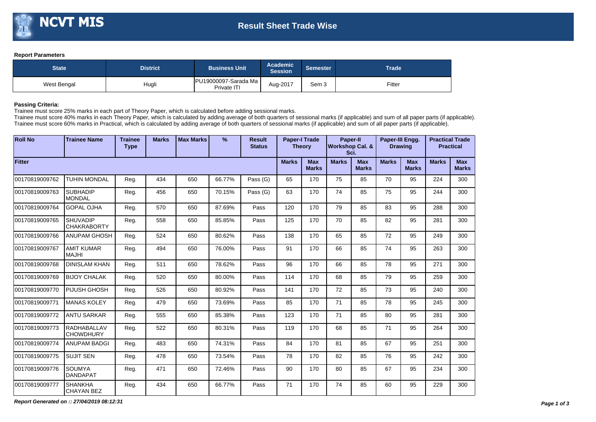## **Report Parameters**

| <b>State</b> | <b>District</b> | <b>Business Unit</b>                | Academic<br><b>Session</b> | Semester | <b>Trade</b> |  |  |
|--------------|-----------------|-------------------------------------|----------------------------|----------|--------------|--|--|
| West Bengal  | Hugli           | PU19000097-Sarada Ma<br>Private ITI | Aug-2017                   | Sem 3    | Fitter       |  |  |

## **Passing Criteria:**

Trainee must score 25% marks in each part of Theory Paper, which is calculated before adding sessional marks.

Trainee must score 40% marks in each Theory Paper, which is calculated by adding average of both quarters of sessional marks (if applicable) and sum of all paper parts (if applicable). Trainee must score 60% marks in Practical, which is calculated by adding average of both quarters of sessional marks (if applicable) and sum of all paper parts (if applicable).

| <b>Roll No</b> | <b>Trainee Name</b>                    | <b>Trainee</b><br><b>Type</b> | <b>Marks</b> | <b>Max Marks</b>           | $\%$         | <b>Result</b><br><b>Status</b> | <b>Paper-I Trade</b><br><b>Theory</b> |                            | <b>Paper-II</b><br><b>Workshop Cal. &amp;</b><br>Sci. |    | Paper-III Engg.<br><b>Drawing</b> |    |     | <b>Practical Trade</b><br><b>Practical</b> |
|----------------|----------------------------------------|-------------------------------|--------------|----------------------------|--------------|--------------------------------|---------------------------------------|----------------------------|-------------------------------------------------------|----|-----------------------------------|----|-----|--------------------------------------------|
| Fitter         | <b>Marks</b>                           | <b>Max</b><br><b>Marks</b>    | <b>Marks</b> | <b>Max</b><br><b>Marks</b> | <b>Marks</b> | <b>Max</b><br><b>Marks</b>     | <b>Marks</b>                          | <b>Max</b><br><b>Marks</b> |                                                       |    |                                   |    |     |                                            |
| 00170819009762 | TUHIN MONDAL                           | Reg.                          | 434          | 650                        | 66.77%       | Pass (G)                       | 65                                    | 170                        | 75                                                    | 85 | 70                                | 95 | 224 | 300                                        |
| 00170819009763 | <b>SUBHADIP</b><br><b>MONDAL</b>       | Reg.                          | 456          | 650                        | 70.15%       | Pass (G)                       | 63                                    | 170                        | 74                                                    | 85 | 75                                | 95 | 244 | 300                                        |
| 00170819009764 | <b>GOPAL OJHA</b>                      | Reg.                          | 570          | 650                        | 87.69%       | Pass                           | 120                                   | 170                        | 79                                                    | 85 | 83                                | 95 | 288 | 300                                        |
| 00170819009765 | <b>SHUVADIP</b><br><b>CHAKRABORTY</b>  | Reg.                          | 558          | 650                        | 85.85%       | Pass                           | 125                                   | 170                        | 70                                                    | 85 | 82                                | 95 | 281 | 300                                        |
| 00170819009766 | <b>ANUPAM GHOSH</b>                    | Reg.                          | 524          | 650                        | 80.62%       | Pass                           | 138                                   | 170                        | 65                                                    | 85 | 72                                | 95 | 249 | 300                                        |
| 00170819009767 | <b>AMIT KUMAR</b><br><b>MAJHI</b>      | Reg.                          | 494          | 650                        | 76.00%       | Pass                           | 91                                    | 170                        | 66                                                    | 85 | 74                                | 95 | 263 | 300                                        |
| 00170819009768 | <b>DINISLAM KHAN</b>                   | Reg.                          | 511          | 650                        | 78.62%       | Pass                           | 96                                    | 170                        | 66                                                    | 85 | 78                                | 95 | 271 | 300                                        |
| 00170819009769 | <b>BIJOY CHALAK</b>                    | Reg.                          | 520          | 650                        | 80.00%       | Pass                           | 114                                   | 170                        | 68                                                    | 85 | 79                                | 95 | 259 | 300                                        |
| 00170819009770 | PIJUSH GHOSH                           | Reg.                          | 526          | 650                        | 80.92%       | Pass                           | 141                                   | 170                        | 72                                                    | 85 | 73                                | 95 | 240 | 300                                        |
| 00170819009771 | <b>MANAS KOLEY</b>                     | Reg.                          | 479          | 650                        | 73.69%       | Pass                           | 85                                    | 170                        | 71                                                    | 85 | 78                                | 95 | 245 | 300                                        |
| 00170819009772 | <b>ANTU SARKAR</b>                     | Reg.                          | 555          | 650                        | 85.38%       | Pass                           | 123                                   | 170                        | 71                                                    | 85 | 80                                | 95 | 281 | 300                                        |
| 00170819009773 | <b>RADHABALLAV</b><br><b>CHOWDHURY</b> | Reg.                          | 522          | 650                        | 80.31%       | Pass                           | 119                                   | 170                        | 68                                                    | 85 | 71                                | 95 | 264 | 300                                        |
| 00170819009774 | <b>ANUPAM BADGI</b>                    | Reg.                          | 483          | 650                        | 74.31%       | Pass                           | 84                                    | 170                        | 81                                                    | 85 | 67                                | 95 | 251 | 300                                        |
| 00170819009775 | <b>SUJIT SEN</b>                       | Reg.                          | 478          | 650                        | 73.54%       | Pass                           | 78                                    | 170                        | 82                                                    | 85 | 76                                | 95 | 242 | 300                                        |
| 00170819009776 | <b>SOUMYA</b><br><b>DANDAPAT</b>       | Reg.                          | 471          | 650                        | 72.46%       | Pass                           | 90                                    | 170                        | 80                                                    | 85 | 67                                | 95 | 234 | 300                                        |
| 00170819009777 | <b>SHANKHA</b><br><b>CHAYAN BEZ</b>    | Reg.                          | 434          | 650                        | 66.77%       | Pass                           | 71                                    | 170                        | 74                                                    | 85 | 60                                | 95 | 229 | 300                                        |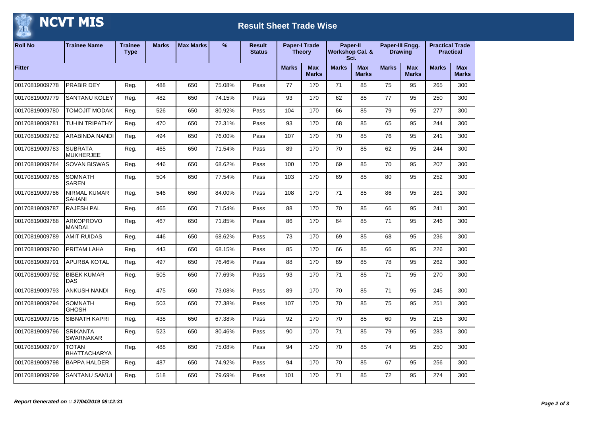## NCVT MIS 监

## **Result Sheet Trade Wise**

| <b>Roll No</b> | <b>Trainee Name</b>                  | <b>Trainee</b><br><b>Type</b> | <b>Marks</b> | <b>Max Marks</b> | %      | <b>Result</b><br><b>Status</b> | <b>Paper-I Trade</b><br><b>Theory</b> |                            | Paper-II<br><b>Workshop Cal. &amp;</b><br>Sci. |                            | Paper-III Engg.<br><b>Drawing</b> |                            | <b>Practical Trade</b><br><b>Practical</b> |                            |
|----------------|--------------------------------------|-------------------------------|--------------|------------------|--------|--------------------------------|---------------------------------------|----------------------------|------------------------------------------------|----------------------------|-----------------------------------|----------------------------|--------------------------------------------|----------------------------|
| Fitter         |                                      |                               |              |                  |        |                                | <b>Marks</b>                          | <b>Max</b><br><b>Marks</b> | <b>Marks</b>                                   | <b>Max</b><br><b>Marks</b> | <b>Marks</b>                      | <b>Max</b><br><b>Marks</b> | <b>Marks</b>                               | <b>Max</b><br><b>Marks</b> |
| 00170819009778 | PRABIR DEY                           | Reg.                          | 488          | 650              | 75.08% | Pass                           | 77                                    | 170                        | 71                                             | 85                         | 75                                | 95                         | 265                                        | 300                        |
| 00170819009779 | <b>SANTANU KOLEY</b>                 | Reg.                          | 482          | 650              | 74.15% | Pass                           | 93                                    | 170                        | 62                                             | 85                         | 77                                | 95                         | 250                                        | 300                        |
| 00170819009780 | <b>TOMOJIT MODAK</b>                 | Reg.                          | 526          | 650              | 80.92% | Pass                           | 104                                   | 170                        | 66                                             | 85                         | 79                                | 95                         | 277                                        | 300                        |
| 00170819009781 | <b>TUHIN TRIPATHY</b>                | Reg.                          | 470          | 650              | 72.31% | Pass                           | 93                                    | 170                        | 68                                             | 85                         | 65                                | 95                         | 244                                        | 300                        |
| 00170819009782 | ARABINDA NANDI                       | Reg.                          | 494          | 650              | 76.00% | Pass                           | 107                                   | 170                        | 70                                             | 85                         | 76                                | 95                         | 241                                        | 300                        |
| 00170819009783 | <b>SUBRATA</b><br><b>MUKHERJEE</b>   | Reg.                          | 465          | 650              | 71.54% | Pass                           | 89                                    | 170                        | 70                                             | 85                         | 62                                | 95                         | 244                                        | 300                        |
| 00170819009784 | <b>SOVAN BISWAS</b>                  | Reg.                          | 446          | 650              | 68.62% | Pass                           | 100                                   | 170                        | 69                                             | 85                         | 70                                | 95                         | 207                                        | 300                        |
| 00170819009785 | <b>SOMNATH</b><br>SAREN              | Reg.                          | 504          | 650              | 77.54% | Pass                           | 103                                   | 170                        | 69                                             | 85                         | 80                                | 95                         | 252                                        | 300                        |
| 00170819009786 | <b>NIRMAL KUMAR</b><br><b>SAHANI</b> | Reg.                          | 546          | 650              | 84.00% | Pass                           | 108                                   | 170                        | 71                                             | 85                         | 86                                | 95                         | 281                                        | 300                        |
| 00170819009787 | <b>RAJESH PAL</b>                    | Reg.                          | 465          | 650              | 71.54% | Pass                           | 88                                    | 170                        | 70                                             | 85                         | 66                                | 95                         | 241                                        | 300                        |
| 00170819009788 | <b>ARKOPROVO</b><br><b>MANDAL</b>    | Reg.                          | 467          | 650              | 71.85% | Pass                           | 86                                    | 170                        | 64                                             | 85                         | 71                                | 95                         | 246                                        | 300                        |
| 00170819009789 | <b>AMIT RUIDAS</b>                   | Reg.                          | 446          | 650              | 68.62% | Pass                           | 73                                    | 170                        | 69                                             | 85                         | 68                                | 95                         | 236                                        | 300                        |
| 00170819009790 | PRITAM LAHA                          | Reg.                          | 443          | 650              | 68.15% | Pass                           | 85                                    | 170                        | 66                                             | 85                         | 66                                | 95                         | 226                                        | 300                        |
| 00170819009791 | APURBA KOTAL                         | Reg.                          | 497          | 650              | 76.46% | Pass                           | 88                                    | 170                        | 69                                             | 85                         | 78                                | 95                         | 262                                        | 300                        |
| 00170819009792 | <b>BIBEK KUMAR</b><br><b>DAS</b>     | Reg.                          | 505          | 650              | 77.69% | Pass                           | 93                                    | 170                        | 71                                             | 85                         | 71                                | 95                         | 270                                        | 300                        |
| 00170819009793 | <b>ANKUSH NANDI</b>                  | Reg.                          | 475          | 650              | 73.08% | Pass                           | 89                                    | 170                        | 70                                             | 85                         | 71                                | 95                         | 245                                        | 300                        |
| 00170819009794 | <b>SOMNATH</b><br><b>GHOSH</b>       | Reg.                          | 503          | 650              | 77.38% | Pass                           | 107                                   | 170                        | 70                                             | 85                         | 75                                | 95                         | 251                                        | 300                        |
| 00170819009795 | <b>SIBNATH KAPRI</b>                 | Reg.                          | 438          | 650              | 67.38% | Pass                           | 92                                    | 170                        | 70                                             | 85                         | 60                                | 95                         | 216                                        | 300                        |
| 00170819009796 | <b>SRIKANTA</b><br><b>SWARNAKAR</b>  | Reg.                          | 523          | 650              | 80.46% | Pass                           | 90                                    | 170                        | 71                                             | 85                         | 79                                | 95                         | 283                                        | 300                        |
| 00170819009797 | <b>TOTAN</b><br><b>BHATTACHARYA</b>  | Reg.                          | 488          | 650              | 75.08% | Pass                           | 94                                    | 170                        | 70                                             | 85                         | 74                                | 95                         | 250                                        | 300                        |
| 00170819009798 | <b>BAPPA HALDER</b>                  | Reg.                          | 487          | 650              | 74.92% | Pass                           | 94                                    | 170                        | 70                                             | 85                         | 67                                | 95                         | 256                                        | 300                        |
| 00170819009799 | SANTANU SAMUI                        | Reg.                          | 518          | 650              | 79.69% | Pass                           | 101                                   | 170                        | 71                                             | 85                         | 72                                | 95                         | 274                                        | 300                        |